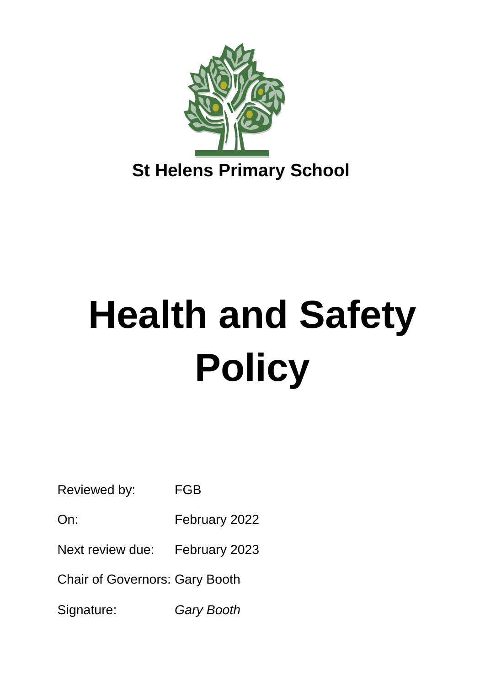

# **Health and Safety Policy**

Reviewed by: FGB

On: February 2022

Next review due: February 2023

Chair of Governors: Gary Booth

Signature: *Gary Booth*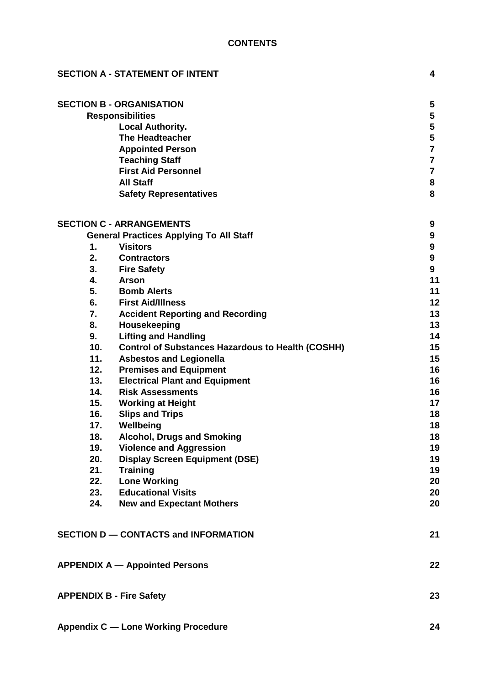| <b>SECTION A - STATEMENT OF INTENT</b> |                                                          |                  |  |
|----------------------------------------|----------------------------------------------------------|------------------|--|
|                                        | <b>SECTION B - ORGANISATION</b>                          | 5                |  |
|                                        | <b>Responsibilities</b>                                  | 5                |  |
|                                        | <b>Local Authority.</b>                                  | 5                |  |
|                                        | <b>The Headteacher</b>                                   | 5                |  |
|                                        | <b>Appointed Person</b>                                  | $\overline{7}$   |  |
|                                        | <b>Teaching Staff</b>                                    | 7                |  |
|                                        | <b>First Aid Personnel</b>                               | $\overline{7}$   |  |
|                                        | <b>All Staff</b>                                         | 8                |  |
|                                        | <b>Safety Representatives</b>                            | 8                |  |
|                                        | <b>SECTION C - ARRANGEMENTS</b>                          | 9                |  |
|                                        | <b>General Practices Applying To All Staff</b>           | 9                |  |
| 1.                                     | <b>Visitors</b>                                          | $\boldsymbol{9}$ |  |
| 2.                                     | <b>Contractors</b>                                       | 9                |  |
| 3.                                     | <b>Fire Safety</b>                                       | 9                |  |
| 4.                                     | <b>Arson</b>                                             | 11               |  |
| 5.                                     | <b>Bomb Alerts</b>                                       | 11               |  |
| 6.                                     | <b>First Aid/Illness</b>                                 | 12               |  |
| 7.                                     | <b>Accident Reporting and Recording</b>                  | 13               |  |
| 8.                                     | Housekeeping                                             | 13               |  |
| 9.                                     | <b>Lifting and Handling</b>                              | 14               |  |
| 10.                                    | <b>Control of Substances Hazardous to Health (COSHH)</b> | 15               |  |
| 11.                                    | <b>Asbestos and Legionella</b>                           | 15               |  |
| 12.                                    | <b>Premises and Equipment</b>                            | 16               |  |
| 13.                                    | <b>Electrical Plant and Equipment</b>                    | 16               |  |
| 14.                                    | <b>Risk Assessments</b>                                  | 16               |  |
| 15.                                    | <b>Working at Height</b>                                 | 17               |  |
| 16.                                    | <b>Slips and Trips</b>                                   | 18               |  |
| 17.                                    | Wellbeing                                                | 18               |  |
| 18.                                    | <b>Alcohol, Drugs and Smoking</b>                        | 18               |  |
| 19.                                    | <b>Violence and Aggression</b>                           | 19               |  |
| 20.                                    | <b>Display Screen Equipment (DSE)</b>                    | 19               |  |
| 21.                                    | <b>Training</b>                                          | 19               |  |
| 22.                                    | <b>Lone Working</b>                                      | 20               |  |
| 23.                                    | <b>Educational Visits</b>                                | 20               |  |
| 24.                                    | <b>New and Expectant Mothers</b>                         | 20               |  |
|                                        | SECTION D - CONTACTS and INFORMATION                     | 21               |  |
|                                        | <b>APPENDIX A - Appointed Persons</b>                    | 22               |  |
|                                        | <b>APPENDIX B - Fire Safety</b>                          | 23               |  |
|                                        | <b>Appendix C - Lone Working Procedure</b>               | 24               |  |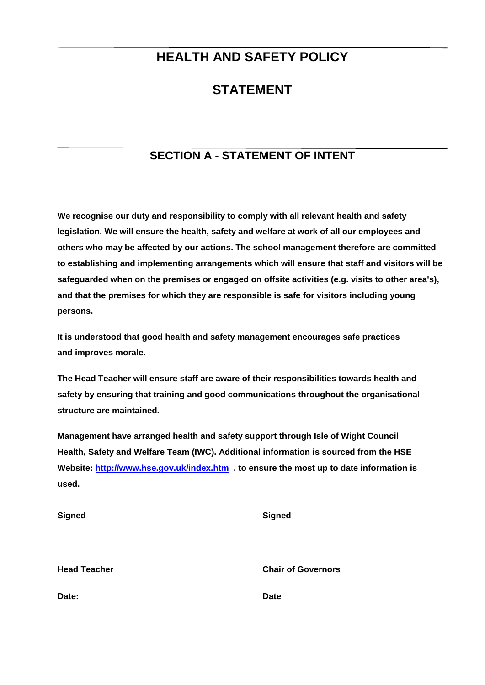# **HEALTH AND SAFETY POLICY**

# **STATEMENT**

# **SECTION A - STATEMENT OF INTENT**

**We recognise our duty and responsibility to comply with all relevant health and safety legislation. We will ensure the health, safety and welfare at work of all our employees and others who may be affected by our actions. The school management therefore are committed to establishing and implementing arrangements which will ensure that staff and visitors will be safeguarded when on the premises or engaged on offsite activities (e.g. visits to other area's), and that the premises for which they are responsible is safe for visitors including young persons.**

**It is understood that good health and safety management encourages safe practices and improves morale.**

**The Head Teacher will ensure staff are aware of their responsibilities towards health and safety by ensuring that training and good communications throughout the organisational structure are maintained.**

**Management have arranged health and safety support through Isle of Wight Council Health, Safety and Welfare Team (IWC). Additional information is sourced from the HSE Website:<http://www.hse.gov.uk/index.htm>, to ensure the most up to date information is used.**

| <b>Signed</b>       | <b>Signed</b>             |
|---------------------|---------------------------|
| <b>Head Teacher</b> | <b>Chair of Governors</b> |
| Date:               | <b>Date</b>               |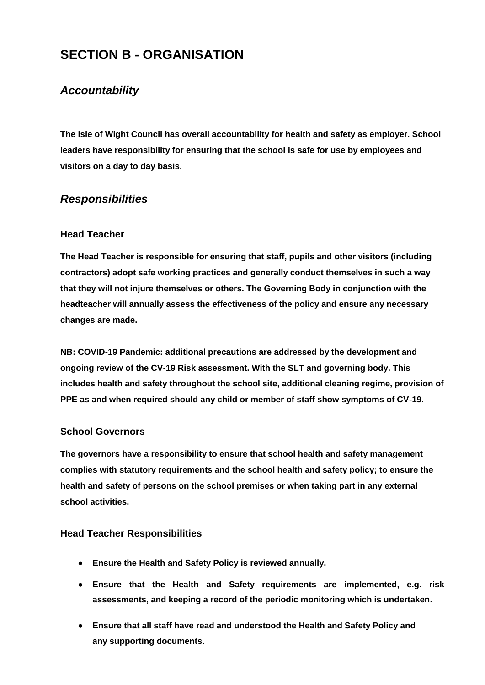# **SECTION B - ORGANISATION**

# *Accountability*

**The Isle of Wight Council has overall accountability for health and safety as employer. School leaders have responsibility for ensuring that the school is safe for use by employees and visitors on a day to day basis.**

# *Responsibilities*

#### **Head Teacher**

**The Head Teacher is responsible for ensuring that staff, pupils and other visitors (including contractors) adopt safe working practices and generally conduct themselves in such a way that they will not injure themselves or others. The Governing Body in conjunction with the headteacher will annually assess the effectiveness of the policy and ensure any necessary changes are made.**

**NB: COVID-19 Pandemic: additional precautions are addressed by the development and ongoing review of the CV-19 Risk assessment. With the SLT and governing body. This includes health and safety throughout the school site, additional cleaning regime, provision of PPE as and when required should any child or member of staff show symptoms of CV-19.**

#### **School Governors**

**The governors have a responsibility to ensure that school health and safety management complies with statutory requirements and the school health and safety policy; to ensure the health and safety of persons on the school premises or when taking part in any external school activities.**

#### **Head Teacher Responsibilities**

- **● Ensure the Health and Safety Policy is reviewed annually.**
- **● Ensure that the Health and Safety requirements are implemented, e.g. risk assessments, and keeping a record of the periodic monitoring which is undertaken.**
- **● Ensure that all staff have read and understood the Health and Safety Policy and any supporting documents.**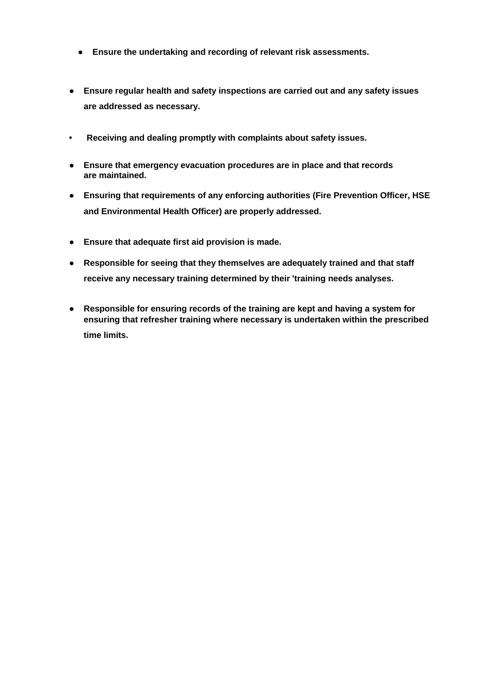- **● Ensure the undertaking and recording of relevant risk assessments.**
- **● Ensure regular health and safety inspections are carried out and any safety issues are addressed as necessary.**
- **• Receiving and dealing promptly with complaints about safety issues.**
- **● Ensure that emergency evacuation procedures are in place and that records are maintained.**
- **● Ensuring that requirements of any enforcing authorities (Fire Prevention Officer, HSE and Environmental Health Officer) are properly addressed.**
- **● Ensure that adequate first aid provision is made.**
- **● Responsible for seeing that they themselves are adequately trained and that staff receive any necessary training determined by their 'training needs analyses.**
- **● Responsible for ensuring records of the training are kept and having a system for ensuring that refresher training where necessary is undertaken within the prescribed time limits.**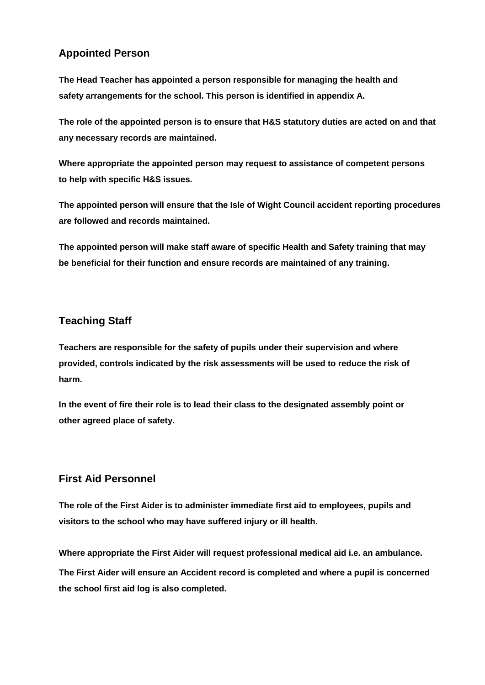# **Appointed Person**

**The Head Teacher has appointed a person responsible for managing the health and safety arrangements for the school. This person is identified in appendix A.**

**The role of the appointed person is to ensure that H&S statutory duties are acted on and that any necessary records are maintained.**

**Where appropriate the appointed person may request to assistance of competent persons to help with specific H&S issues.**

**The appointed person will ensure that the Isle of Wight Council accident reporting procedures are followed and records maintained.**

**The appointed person will make staff aware of specific Health and Safety training that may be beneficial for their function and ensure records are maintained of any training.**

# **Teaching Staff**

**Teachers are responsible for the safety of pupils under their supervision and where provided, controls indicated by the risk assessments will be used to reduce the risk of harm.**

**In the event of fire their role is to lead their class to the designated assembly point or other agreed place of safety.**

# **First Aid Personnel**

**The role of the First Aider is to administer immediate first aid to employees, pupils and visitors to the school who may have suffered injury or ill health.**

**Where appropriate the First Aider will request professional medical aid i.e. an ambulance. The First Aider will ensure an Accident record is completed and where a pupil is concerned the school first aid log is also completed.**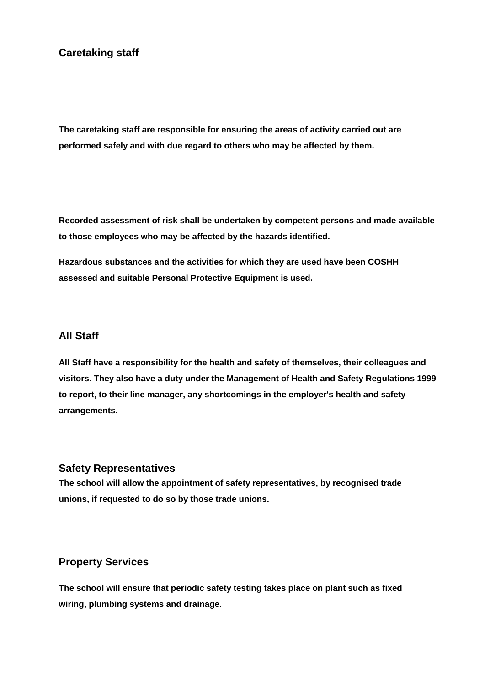# **Caretaking staff**

**The caretaking staff are responsible for ensuring the areas of activity carried out are performed safely and with due regard to others who may be affected by them.**

**Recorded assessment of risk shall be undertaken by competent persons and made available to those employees who may be affected by the hazards identified.**

**Hazardous substances and the activities for which they are used have been COSHH assessed and suitable Personal Protective Equipment is used.**

## **All Staff**

**All Staff have a responsibility for the health and safety of themselves, their colleagues and visitors. They also have a duty under the Management of Health and Safety Regulations 1999 to report, to their line manager, any shortcomings in the employer's health and safety arrangements.**

#### **Safety Representatives**

**The school will allow the appointment of safety representatives, by recognised trade unions, if requested to do so by those trade unions.**

#### **Property Services**

**The school will ensure that periodic safety testing takes place on plant such as fixed wiring, plumbing systems and drainage.**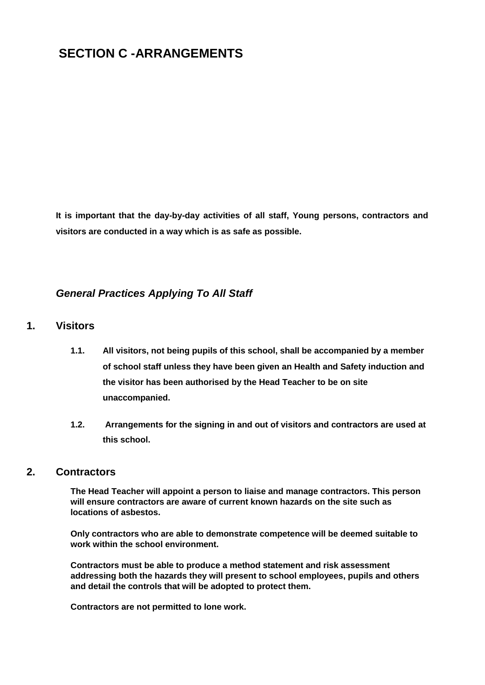# **SECTION C -ARRANGEMENTS**

**It is important that the day-by-day activities of all staff, Young persons, contractors and visitors are conducted in a way which is as safe as possible.**

## *General Practices Applying To All Staff*

### **1. Visitors**

- **1.1. All visitors, not being pupils of this school, shall be accompanied by a member of school staff unless they have been given an Health and Safety induction and the visitor has been authorised by the Head Teacher to be on site unaccompanied.**
- **1.2. Arrangements for the signing in and out of visitors and contractors are used at this school.**

#### **2. Contractors**

**The Head Teacher will appoint a person to liaise and manage contractors. This person will ensure contractors are aware of current known hazards on the site such as locations of asbestos.**

**Only contractors who are able to demonstrate competence will be deemed suitable to work within the school environment.**

**Contractors must be able to produce a method statement and risk assessment addressing both the hazards they will present to school employees, pupils and others and detail the controls that will be adopted to protect them.**

**Contractors are not permitted to lone work.**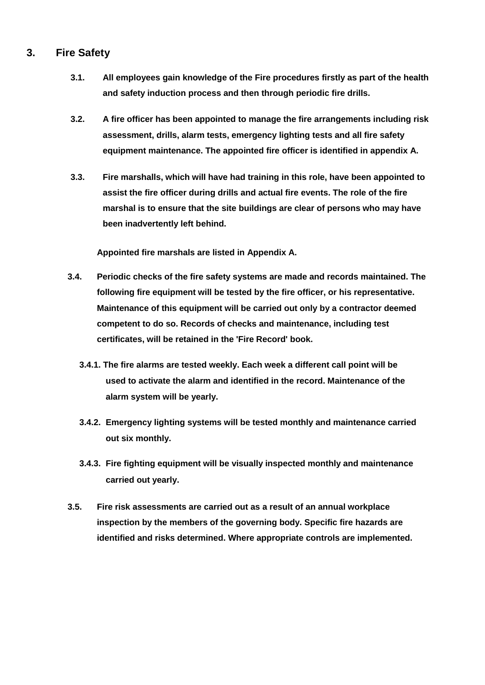# **3. Fire Safety**

- **3.1. All employees gain knowledge of the Fire procedures firstly as part of the health and safety induction process and then through periodic fire drills.**
- **3.2. A fire officer has been appointed to manage the fire arrangements including risk assessment, drills, alarm tests, emergency lighting tests and all fire safety equipment maintenance. The appointed fire officer is identified in appendix A.**
- **3.3. Fire marshalls, which will have had training in this role, have been appointed to assist the fire officer during drills and actual fire events. The role of the fire marshal is to ensure that the site buildings are clear of persons who may have been inadvertently left behind.**

**Appointed fire marshals are listed in Appendix A.**

- **3.4. Periodic checks of the fire safety systems are made and records maintained. The following fire equipment will be tested by the fire officer, or his representative. Maintenance of this equipment will be carried out only by a contractor deemed competent to do so. Records of checks and maintenance, including test certificates, will be retained in the 'Fire Record' book.**
	- **3.4.1. The fire alarms are tested weekly. Each week a different call point will be used to activate the alarm and identified in the record. Maintenance of the alarm system will be yearly.**
	- **3.4.2. Emergency lighting systems will be tested monthly and maintenance carried out six monthly.**
	- **3.4.3. Fire fighting equipment will be visually inspected monthly and maintenance carried out yearly.**
- **3.5. Fire risk assessments are carried out as a result of an annual workplace inspection by the members of the governing body. Specific fire hazards are identified and risks determined. Where appropriate controls are implemented.**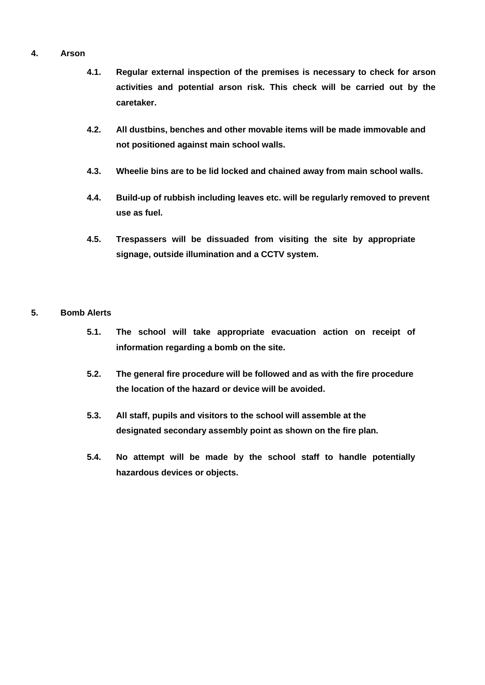#### **4. Arson**

- **4.1. Regular external inspection of the premises is necessary to check for arson activities and potential arson risk. This check will be carried out by the caretaker.**
- **4.2. All dustbins, benches and other movable items will be made immovable and not positioned against main school walls.**
- **4.3. Wheelie bins are to be lid locked and chained away from main school walls.**
- **4.4. Build-up of rubbish including leaves etc. will be regularly removed to prevent use as fuel.**
- **4.5. Trespassers will be dissuaded from visiting the site by appropriate signage, outside illumination and a CCTV system.**

#### **5. Bomb Alerts**

- **5.1. The school will take appropriate evacuation action on receipt of information regarding a bomb on the site.**
- **5.2. The general fire procedure will be followed and as with the fire procedure the location of the hazard or device will be avoided.**
- **5.3. All staff, pupils and visitors to the school will assemble at the designated secondary assembly point as shown on the fire plan.**
- **5.4. No attempt will be made by the school staff to handle potentially hazardous devices or objects.**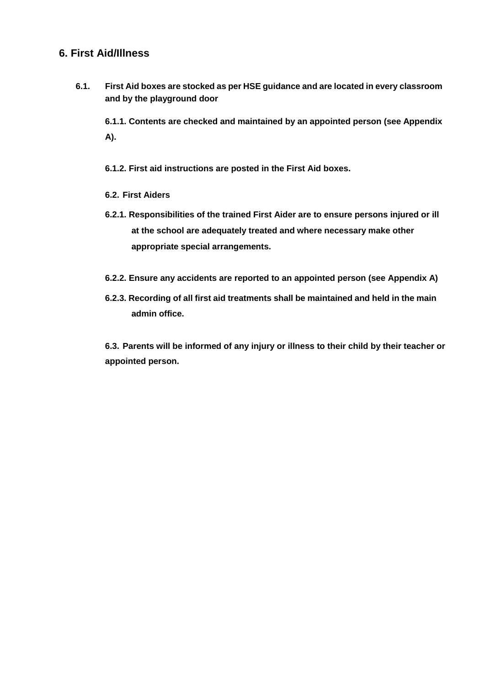# **6. First Aid/Illness**

**6.1. First Aid boxes are stocked as per HSE guidance and are located in every classroom and by the playground door**

**6.1.1. Contents are checked and maintained by an appointed person (see Appendix A).**

**6.1.2. First aid instructions are posted in the First Aid boxes.**

- **6.2. First Aiders**
- **6.2.1. Responsibilities of the trained First Aider are to ensure persons injured or ill at the school are adequately treated and where necessary make other appropriate special arrangements.**
- **6.2.2. Ensure any accidents are reported to an appointed person (see Appendix A)**
- **6.2.3. Recording of all first aid treatments shall be maintained and held in the main admin office.**

**6.3. Parents will be informed of any injury or illness to their child by their teacher or appointed person.**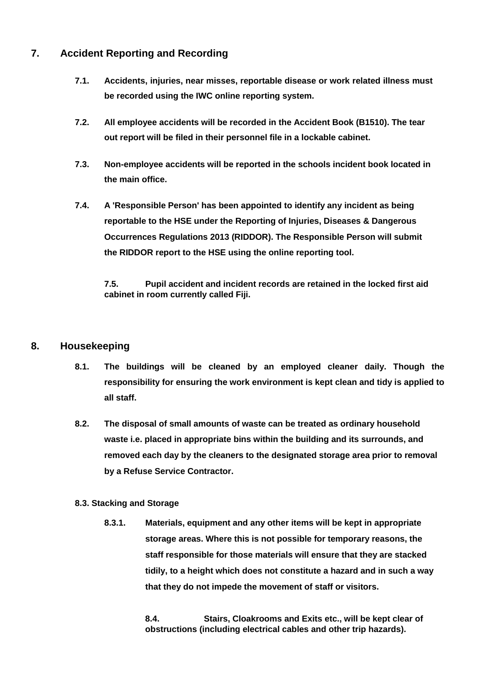# **7. Accident Reporting and Recording**

- **7.1. Accidents, injuries, near misses, reportable disease or work related illness must be recorded using the IWC online reporting system.**
- **7.2. All employee accidents will be recorded in the Accident Book (B1510). The tear out report will be filed in their personnel file in a lockable cabinet.**
- **7.3. Non-employee accidents will be reported in the schools incident book located in the main office.**
- **7.4. A 'Responsible Person' has been appointed to identify any incident as being reportable to the HSE under the Reporting of Injuries, Diseases & Dangerous Occurrences Regulations 2013 (RIDDOR). The Responsible Person will submit the RIDDOR report to the HSE using the online reporting tool.**

**7.5. Pupil accident and incident records are retained in the locked first aid cabinet in room currently called Fiji.**

## **8. Housekeeping**

- **8.1. The buildings will be cleaned by an employed cleaner daily. Though the responsibility for ensuring the work environment is kept clean and tidy is applied to all staff.**
- **8.2. The disposal of small amounts of waste can be treated as ordinary household waste i.e. placed in appropriate bins within the building and its surrounds, and removed each day by the cleaners to the designated storage area prior to removal by a Refuse Service Contractor.**

#### **8.3. Stacking and Storage**

**8.3.1. Materials, equipment and any other items will be kept in appropriate storage areas. Where this is not possible for temporary reasons, the staff responsible for those materials will ensure that they are stacked tidily, to a height which does not constitute a hazard and in such a way that they do not impede the movement of staff or visitors.**

> **8.4. Stairs, Cloakrooms and Exits etc., will be kept clear of obstructions (including electrical cables and other trip hazards).**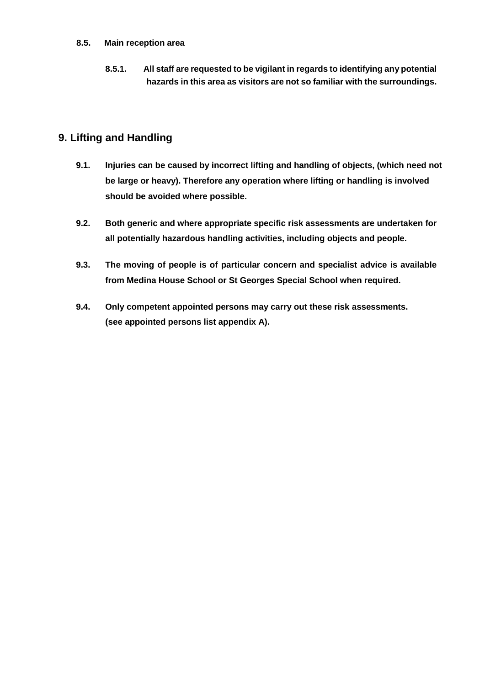#### **8.5. Main reception area**

**8.5.1. All staff are requested to be vigilant in regards to identifying any potential hazards in this area as visitors are not so familiar with the surroundings.**

# **9. Lifting and Handling**

- **9.1. Injuries can be caused by incorrect lifting and handling of objects, (which need not be large or heavy). Therefore any operation where lifting or handling is involved should be avoided where possible.**
- **9.2. Both generic and where appropriate specific risk assessments are undertaken for all potentially hazardous handling activities, including objects and people.**
- **9.3. The moving of people is of particular concern and specialist advice is available from Medina House School or St Georges Special School when required.**
- **9.4. Only competent appointed persons may carry out these risk assessments. (see appointed persons list appendix A).**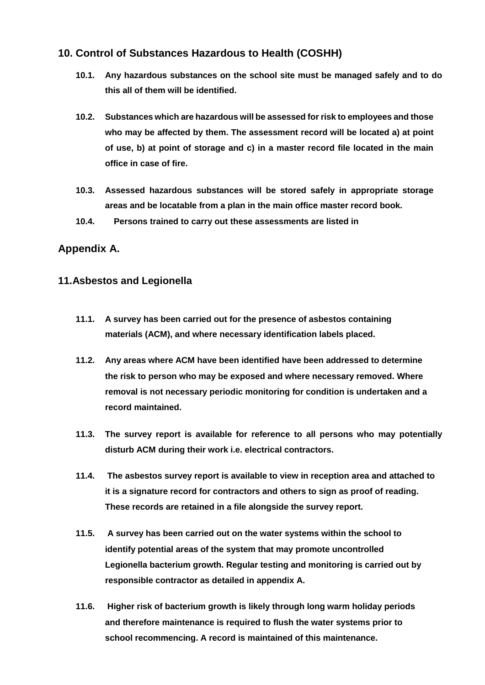# **10. Control of Substances Hazardous to Health (COSHH)**

- **10.1. Any hazardous substances on the school site must be managed safely and to do this all of them will be identified.**
- **10.2. Substances which are hazardous will be assessed for risk to employees and those who may be affected by them. The assessment record will be located a) at point of use, b) at point of storage and c) in a master record file located in the main office in case of fire.**
- **10.3. Assessed hazardous substances will be stored safely in appropriate storage areas and be locatable from a plan in the main office master record book.**
- **10.4. Persons trained to carry out these assessments are listed in**

# **Appendix A.**

# **11.Asbestos and Legionella**

- **11.1. A survey has been carried out for the presence of asbestos containing materials (ACM), and where necessary identification labels placed.**
- **11.2. Any areas where ACM have been identified have been addressed to determine the risk to person who may be exposed and where necessary removed. Where removal is not necessary periodic monitoring for condition is undertaken and a record maintained.**
- **11.3. The survey report is available for reference to all persons who may potentially disturb ACM during their work i.e. electrical contractors.**
- **11.4. The asbestos survey report is available to view in reception area and attached to it is a signature record for contractors and others to sign as proof of reading. These records are retained in a file alongside the survey report.**
- **11.5. A survey has been carried out on the water systems within the school to identify potential areas of the system that may promote uncontrolled Legionella bacterium growth. Regular testing and monitoring is carried out by responsible contractor as detailed in appendix A.**
- **11.6. Higher risk of bacterium growth is likely through long warm holiday periods and therefore maintenance is required to flush the water systems prior to school recommencing. A record is maintained of this maintenance.**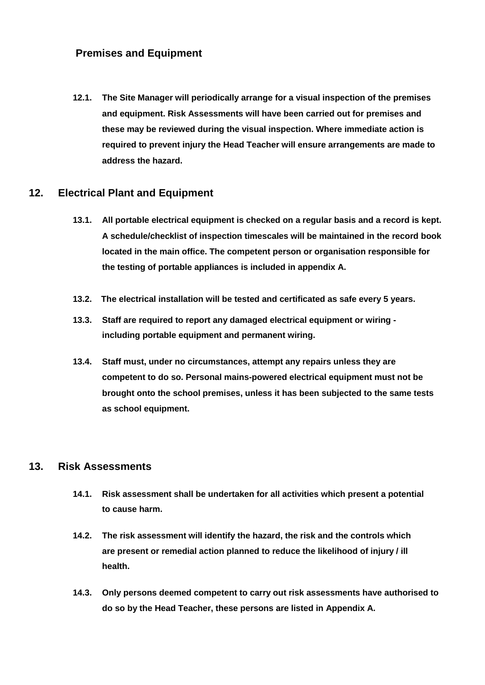# **Premises and Equipment**

**12.1. The Site Manager will periodically arrange for a visual inspection of the premises and equipment. Risk Assessments will have been carried out for premises and these may be reviewed during the visual inspection. Where immediate action is required to prevent injury the Head Teacher will ensure arrangements are made to address the hazard.**

#### **12. Electrical Plant and Equipment**

- **13.1. All portable electrical equipment is checked on a regular basis and a record is kept. A schedule/checklist of inspection timescales will be maintained in the record book located in the main office. The competent person or organisation responsible for the testing of portable appliances is included in appendix A.**
- **13.2. The electrical installation will be tested and certificated as safe every 5 years.**
- **13.3. Staff are required to report any damaged electrical equipment or wiring including portable equipment and permanent wiring.**
- **13.4. Staff must, under no circumstances, attempt any repairs unless they are competent to do so. Personal mains-powered electrical equipment must not be brought onto the school premises, unless it has been subjected to the same tests as school equipment.**

#### **13. Risk Assessments**

- **14.1. Risk assessment shall be undertaken for all activities which present a potential to cause harm.**
- **14.2. The risk assessment will identify the hazard, the risk and the controls which are present or remedial action planned to reduce the likelihood of injury / ill health.**
- **14.3. Only persons deemed competent to carry out risk assessments have authorised to do so by the Head Teacher, these persons are listed in Appendix A.**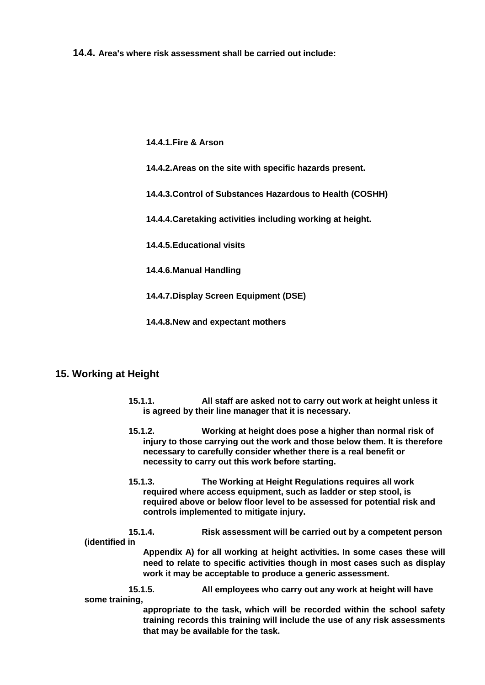**14.4. Area's where risk assessment shall be carried out include:**

**14.4.1.Fire & Arson**

- **14.4.2.Areas on the site with specific hazards present.**
- **14.4.3.Control of Substances Hazardous to Health (COSHH)**
- **14.4.4.Caretaking activities including working at height.**
- **14.4.5.Educational visits**
- **14.4.6.Manual Handling**
- **14.4.7.Display Screen Equipment (DSE)**
- **14.4.8.New and expectant mothers**

#### **15. Working at Height**

- **15.1.1. All staff are asked not to carry out work at height unless it is agreed by their line manager that it is necessary.**
- **15.1.2. Working at height does pose a higher than normal risk of injury to those carrying out the work and those below them. It is therefore necessary to carefully consider whether there is a real benefit or necessity to carry out this work before starting.**
- **15.1.3. The Working at Height Regulations requires all work required where access equipment, such as ladder or step stool, is required above or below floor level to be assessed for potential risk and controls implemented to mitigate injury.**

**15.1.4. Risk assessment will be carried out by a competent person (identified in**

> **Appendix A) for all working at height activities. In some cases these will need to relate to specific activities though in most cases such as display work it may be acceptable to produce a generic assessment.**

**15.1.5. All employees who carry out any work at height will have some training,**

> **appropriate to the task, which will be recorded within the school safety training records this training will include the use of any risk assessments that may be available for the task.**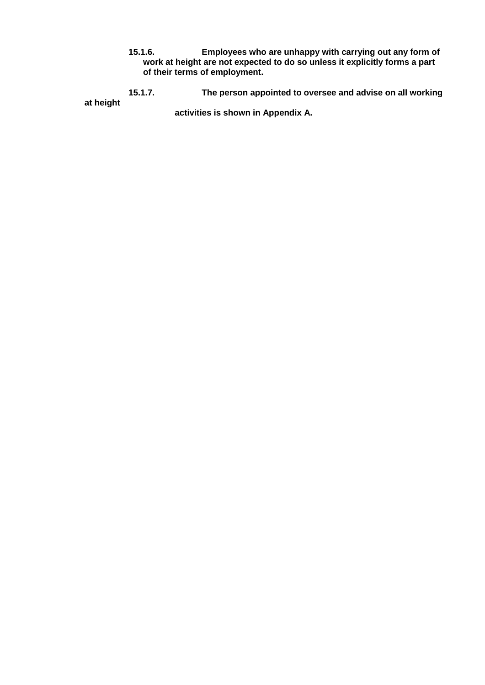**15.1.6. Employees who are unhappy with carrying out any form of work at height are not expected to do so unless it explicitly forms a part of their terms of employment.**

**15.1.7. The person appointed to oversee and advise on all working at height activities is shown in Appendix A.**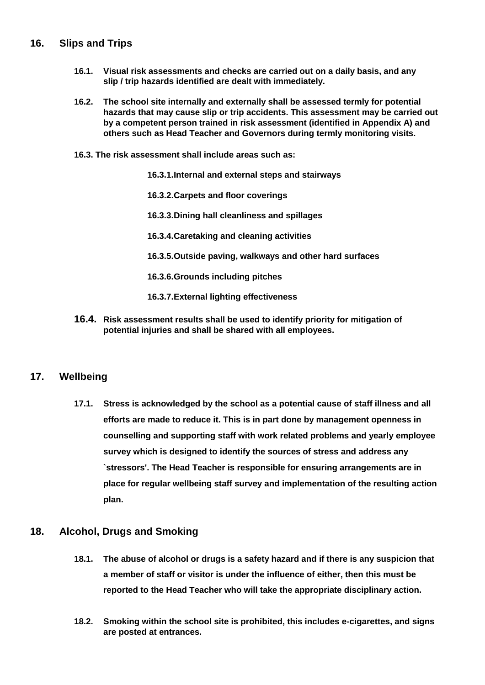## **16. Slips and Trips**

- **16.1. Visual risk assessments and checks are carried out on a daily basis, and any slip / trip hazards identified are dealt with immediately.**
- **16.2. The school site internally and externally shall be assessed termly for potential hazards that may cause slip or trip accidents. This assessment may be carried out by a competent person trained in risk assessment (identified in Appendix A) and others such as Head Teacher and Governors during termly monitoring visits.**
- **16.3. The risk assessment shall include areas such as:**
	- **16.3.1.Internal and external steps and stairways**
	- **16.3.2.Carpets and floor coverings**
	- **16.3.3.Dining hall cleanliness and spillages**
	- **16.3.4.Caretaking and cleaning activities**
	- **16.3.5.Outside paving, walkways and other hard surfaces**
	- **16.3.6.Grounds including pitches**
	- **16.3.7.External lighting effectiveness**
- **16.4. Risk assessment results shall be used to identify priority for mitigation of potential injuries and shall be shared with all employees.**

#### **17. Wellbeing**

**17.1. Stress is acknowledged by the school as a potential cause of staff illness and all efforts are made to reduce it. This is in part done by management openness in counselling and supporting staff with work related problems and yearly employee survey which is designed to identify the sources of stress and address any `stressors'. The Head Teacher is responsible for ensuring arrangements are in place for regular wellbeing staff survey and implementation of the resulting action plan.**

#### **18. Alcohol, Drugs and Smoking**

- **18.1. The abuse of alcohol or drugs is a safety hazard and if there is any suspicion that a member of staff or visitor is under the influence of either, then this must be reported to the Head Teacher who will take the appropriate disciplinary action.**
- **18.2. Smoking within the school site is prohibited, this includes e-cigarettes, and signs are posted at entrances.**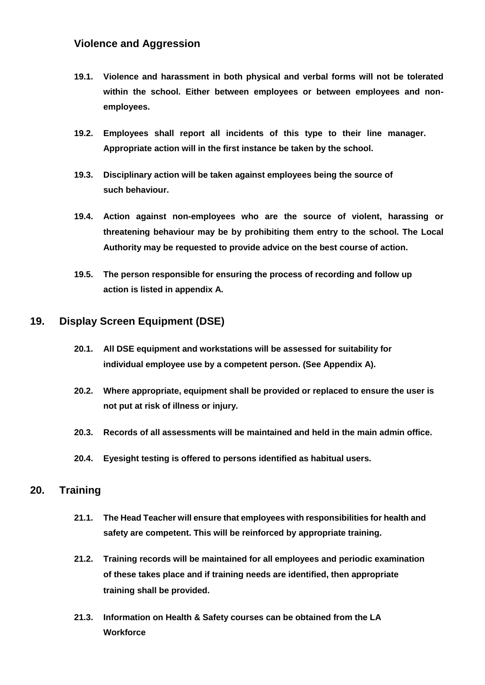# **Violence and Aggression**

- **19.1. Violence and harassment in both physical and verbal forms will not be tolerated within the school. Either between employees or between employees and nonemployees.**
- **19.2. Employees shall report all incidents of this type to their line manager. Appropriate action will in the first instance be taken by the school.**
- **19.3. Disciplinary action will be taken against employees being the source of such behaviour.**
- **19.4. Action against non-employees who are the source of violent, harassing or threatening behaviour may be by prohibiting them entry to the school. The Local Authority may be requested to provide advice on the best course of action.**
- **19.5. The person responsible for ensuring the process of recording and follow up action is listed in appendix A.**

## **19. Display Screen Equipment (DSE)**

- **20.1. All DSE equipment and workstations will be assessed for suitability for individual employee use by a competent person. (See Appendix A).**
- **20.2. Where appropriate, equipment shall be provided or replaced to ensure the user is not put at risk of illness or injury.**
- **20.3. Records of all assessments will be maintained and held in the main admin office.**
- **20.4. Eyesight testing is offered to persons identified as habitual users.**

#### **20. Training**

- **21.1. The Head Teacher will ensure that employees with responsibilities for health and safety are competent. This will be reinforced by appropriate training.**
- **21.2. Training records will be maintained for all employees and periodic examination of these takes place and if training needs are identified, then appropriate training shall be provided.**
- **21.3. Information on Health & Safety courses can be obtained from the LA Workforce**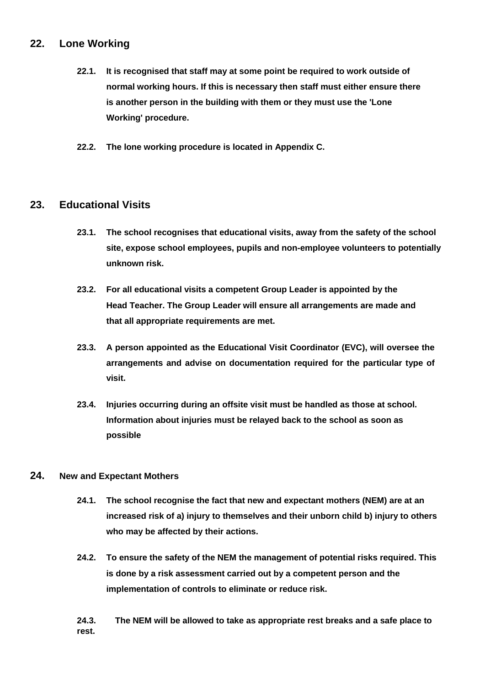# **22. Lone Working**

- **22.1. It is recognised that staff may at some point be required to work outside of normal working hours. If this is necessary then staff must either ensure there is another person in the building with them or they must use the 'Lone Working' procedure.**
- **22.2. The lone working procedure is located in Appendix C.**

## **23. Educational Visits**

- **23.1. The school recognises that educational visits, away from the safety of the school site, expose school employees, pupils and non-employee volunteers to potentially unknown risk.**
- **23.2. For all educational visits a competent Group Leader is appointed by the Head Teacher. The Group Leader will ensure all arrangements are made and that all appropriate requirements are met.**
- **23.3. A person appointed as the Educational Visit Coordinator (EVC), will oversee the arrangements and advise on documentation required for the particular type of visit.**
- **23.4. Injuries occurring during an offsite visit must be handled as those at school. Information about injuries must be relayed back to the school as soon as possible**

#### **24. New and Expectant Mothers**

- **24.1. The school recognise the fact that new and expectant mothers (NEM) are at an increased risk of a) injury to themselves and their unborn child b) injury to others who may be affected by their actions.**
- **24.2. To ensure the safety of the NEM the management of potential risks required. This is done by a risk assessment carried out by a competent person and the implementation of controls to eliminate or reduce risk.**

**24.3. The NEM will be allowed to take as appropriate rest breaks and a safe place to rest.**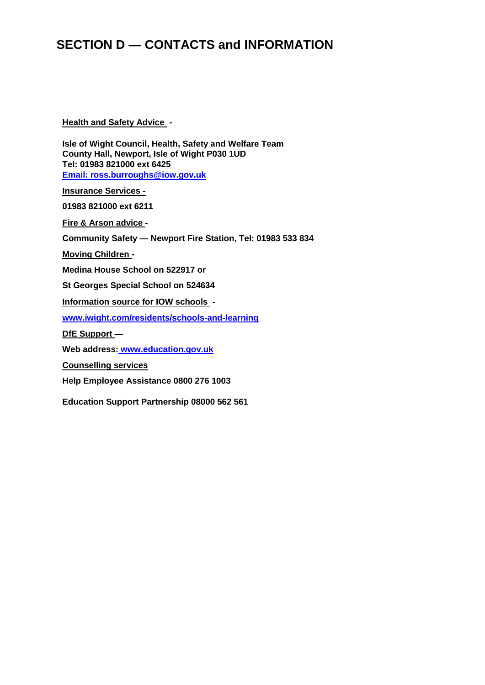# **SECTION D — CONTACTS and INFORMATION**

#### **Health and Safety Advice -**

**Isle of Wight Council, Health, Safety and Welfare Team County Hall, Newport, Isle of Wight P030 1UD Tel: 01983 821000 ext 6425 [Email: ross.burroughs@iow.gov.uk](mailto:ross.burroughs@iow.gov.uk)**

**Insurance Services -**

**01983 821000 ext 6211**

**Fire & Arson advice -**

**Community Safety — Newport Fire Station, Tel: 01983 533 834**

**Moving Children -**

**Medina House School on 522917 or**

**St Georges Special School on 524634**

**Information source for IOW schools -**

**[www.iwight.com/residents/schools-and-learning](http://www.iwight.com/residents/schools-and-learning)**

**DfE Support —**

**Web address: [www.education.gov.uk](http://www.education.gov.uk/)**

**Counselling services** 

**Help Employee Assistance 0800 276 1003**

**Education Support Partnership 08000 562 561**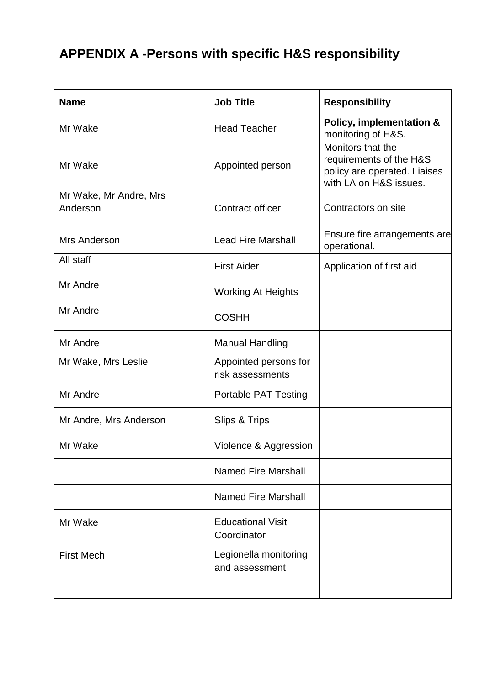# **APPENDIX A -Persons with specific H&S responsibility**

| <b>Name</b>                        | <b>Job Title</b>                          | <b>Responsibility</b>                                                                                  |
|------------------------------------|-------------------------------------------|--------------------------------------------------------------------------------------------------------|
| Mr Wake                            | <b>Head Teacher</b>                       | Policy, implementation &<br>monitoring of H&S.                                                         |
| Mr Wake                            | Appointed person                          | Monitors that the<br>requirements of the H&S<br>policy are operated. Liaises<br>with LA on H&S issues. |
| Mr Wake, Mr Andre, Mrs<br>Anderson | <b>Contract officer</b>                   | Contractors on site                                                                                    |
|                                    |                                           |                                                                                                        |
| Mrs Anderson                       | <b>Lead Fire Marshall</b>                 | Ensure fire arrangements are<br>operational.                                                           |
| All staff                          | <b>First Aider</b>                        | Application of first aid                                                                               |
| Mr Andre                           | <b>Working At Heights</b>                 |                                                                                                        |
| Mr Andre                           | <b>COSHH</b>                              |                                                                                                        |
| Mr Andre                           | <b>Manual Handling</b>                    |                                                                                                        |
| Mr Wake, Mrs Leslie                | Appointed persons for<br>risk assessments |                                                                                                        |
| Mr Andre                           | <b>Portable PAT Testing</b>               |                                                                                                        |
| Mr Andre, Mrs Anderson             | Slips & Trips                             |                                                                                                        |
| Mr Wake                            | Violence & Aggression                     |                                                                                                        |
|                                    | <b>Named Fire Marshall</b>                |                                                                                                        |
|                                    | <b>Named Fire Marshall</b>                |                                                                                                        |
| Mr Wake                            | <b>Educational Visit</b><br>Coordinator   |                                                                                                        |
| <b>First Mech</b>                  | Legionella monitoring<br>and assessment   |                                                                                                        |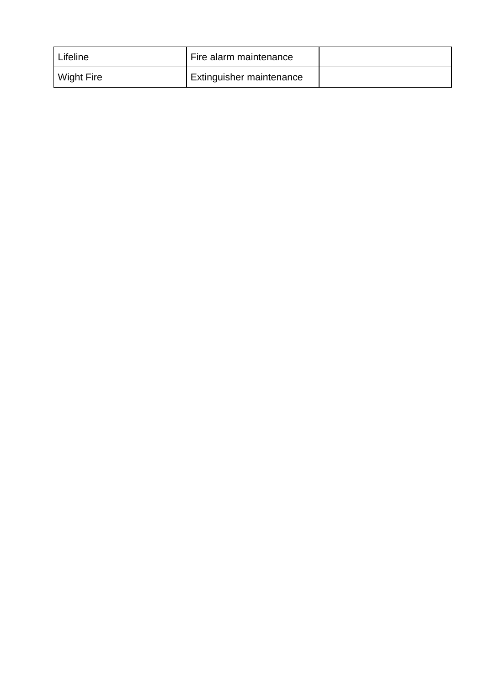| Lifeline          | Fire alarm maintenance   |  |
|-------------------|--------------------------|--|
| <b>Wight Fire</b> | Extinguisher maintenance |  |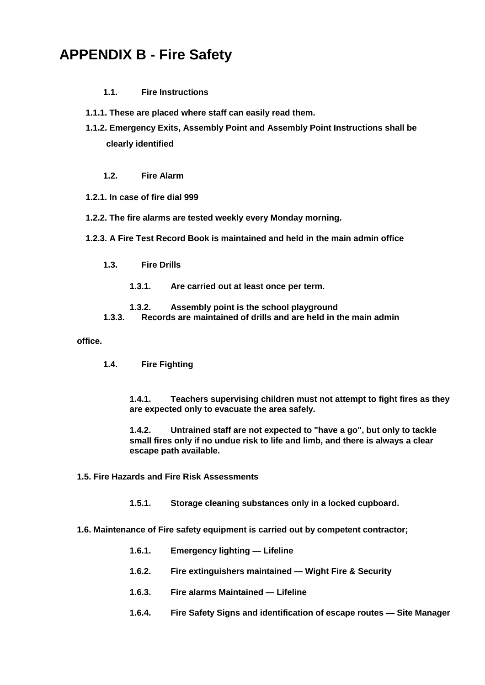# **APPENDIX B - Fire Safety**

#### **1.1. Fire Instructions**

- **1.1.1. These are placed where staff can easily read them.**
- **1.1.2. Emergency Exits, Assembly Point and Assembly Point Instructions shall be clearly identified**

#### **1.2. Fire Alarm**

- **1.2.1. In case of fire dial 999**
- **1.2.2. The fire alarms are tested weekly every Monday morning.**
- **1.2.3. A Fire Test Record Book is maintained and held in the main admin office**
	- **1.3. Fire Drills**
		- **1.3.1. Are carried out at least once per term.**
		- **1.3.2. Assembly point is the school playground**
	- **1.3.3. Records are maintained of drills and are held in the main admin**

#### **office.**

**1.4. Fire Fighting**

**1.4.1. Teachers supervising children must not attempt to fight fires as they are expected only to evacuate the area safely.**

**1.4.2. Untrained staff are not expected to "have a go", but only to tackle small fires only if no undue risk to life and limb, and there is always a clear escape path available.**

- **1.5. Fire Hazards and Fire Risk Assessments**
	- **1.5.1. Storage cleaning substances only in a locked cupboard.**

#### **1.6. Maintenance of Fire safety equipment is carried out by competent contractor;**

- **1.6.1. Emergency lighting — Lifeline**
- **1.6.2. Fire extinguishers maintained — Wight Fire & Security**
- **1.6.3. Fire alarms Maintained — Lifeline**
- **1.6.4. Fire Safety Signs and identification of escape routes — Site Manager**